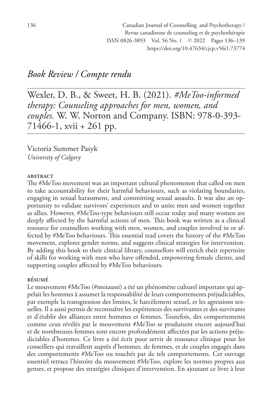## *Book Review / Compte rendu*

Wexler, D. B., & Sweet, H. B. (2021). *#MeToo-informed therapy: Counseling approaches for men, women, and couples.* W. W. Norton and Company. ISBN: 978-0-393- 71466-1, xvii + 261 pp.

Victoria Summer Pasyk *University of Calgary*

## **ABSTRACT**

The #MeToo movement was an important cultural phenomenon that called on men to take accountability for their harmful behaviours, such as violating boundaries, engaging in sexual harassment, and committing sexual assaults. It was also an opportunity to validate survivors' experiences and to unite men and women together as allies. However, #MeToo-type behaviours still occur today and many women are deeply affected by the harmful actions of men. This book was written as a clinical resource for counsellors working with men, women, and couples involved in or affected by #MeToo behaviours. This essential read covers the history of the #MeToo movement, explores gender norms, and suggests clinical strategies for intervention. By adding this book to their clinical library, counsellors will enrich their repertoire of skills for working with men who have offended, empowering female clients, and supporting couples affected by #MeToo behaviours.

## résumé

Le mouvement #MeToo (#moiaussi) a été un phénomène culturel important qui appelait les hommes à assumer la responsabilité de leurs comportements préjudiciables, par exemple la transgression des limites, le harcèlement sexuel, et les agressions sexuelles. Il a aussi permis de reconnaître les expériences des survivantes et des survivants et d'établir des alliances entre hommes et femmes. Toutefois, des comportements comme ceux révélés par le mouvement #MeToo se produisent encore aujourd'hui et de nombreuses femmes sont encore profondément affectées par les actions préjudiciables d'hommes. Ce livre a été écrit pour servir de ressource clinique pour les conseillers qui travaillent auprès d'hommes, de femmes, et de couples engagés dans des comportements #MeToo ou touchés par de tels comportements. Cet ouvrage essentiel retrace l'histoire du mouvement #MeToo, explore les normes propres aux genres, et propose des stratégies cliniques d'intervention. En ajoutant ce livre à leur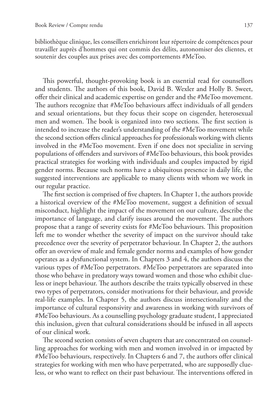bibliothèque clinique, les conseillers enrichiront leur répertoire de compétences pour travailler auprès d'hommes qui ont commis des délits, autonomiser des clientes, et soutenir des couples aux prises avec des comportements #MeToo.

This powerful, thought-provoking book is an essential read for counsellors and students. The authors of this book, David B. Wexler and Holly B. Sweet, offer their clinical and academic expertise on gender and the #MeToo movement. The authors recognize that #MeToo behaviours affect individuals of all genders and sexual orientations, but they focus their scope on cisgender, heterosexual men and women. The book is organized into two sections. The first section is intended to increase the reader's understanding of the #MeToo movement while the second section offers clinical approaches for professionals working with clients involved in the #MeToo movement. Even if one does not specialize in serving populations of offenders and survivors of #MeToo behaviours, this book provides practical strategies for working with individuals and couples impacted by rigid gender norms. Because such norms have a ubiquitous presence in daily life, the suggested interventions are applicable to many clients with whom we work in our regular practice.

The first section is comprised of five chapters. In Chapter 1, the authors provide a historical overview of the #MeToo movement, suggest a definition of sexual misconduct, highlight the impact of the movement on our culture, describe the importance of language, and clarify issues around the movement. The authors propose that a range of severity exists for #MeToo behaviours. This proposition left me to wonder whether the severity of impact on the survivor should take precedence over the severity of perpetrator behaviour. In Chapter 2, the authors offer an overview of male and female gender norms and examples of how gender operates as a dysfunctional system. In Chapters 3 and 4, the authors discuss the various types of #MeToo perpetrators. #MeToo perpetrators are separated into those who behave in predatory ways toward women and those who exhibit clueless or inept behaviour. The authors describe the traits typically observed in these two types of perpetrators, consider motivations for their behaviour, and provide real-life examples. In Chapter 5, the authors discuss intersectionality and the importance of cultural responsivity and awareness in working with survivors of #MeToo behaviours. As a counselling psychology graduate student, I appreciated this inclusion, given that cultural considerations should be infused in all aspects of our clinical work.

The second section consists of seven chapters that are concentrated on counselling approaches for working with men and women involved in or impacted by #MeToo behaviours, respectively. In Chapters 6 and 7, the authors offer clinical strategies for working with men who have perpetrated, who are supposedly clueless, or who want to reflect on their past behaviour. The interventions offered in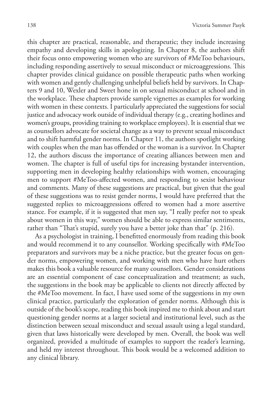this chapter are practical, reasonable, and therapeutic; they include increasing empathy and developing skills in apologizing. In Chapter 8, the authors shift their focus onto empowering women who are survivors of #MeToo behaviours, including responding assertively to sexual misconduct or microaggressions. This chapter provides clinical guidance on possible therapeutic paths when working with women and gently challenging unhelpful beliefs held by survivors. In Chapters 9 and 10, Wexler and Sweet hone in on sexual misconduct at school and in the workplace. These chapters provide sample vignettes as examples for working with women in these contexts. I particularly appreciated the suggestions for social justice and advocacy work outside of individual therapy (e.g., creating hotlines and women's groups, providing training to workplace employees). It is essential that we as counsellors advocate for societal change as a way to prevent sexual misconduct and to shift harmful gender norms. In Chapter 11, the authors spotlight working with couples when the man has offended or the woman is a survivor. In Chapter 12, the authors discuss the importance of creating alliances between men and women. The chapter is full of useful tips for increasing bystander intervention, supporting men in developing healthy relationships with women, encouraging men to support #MeToo-affected women, and responding to sexist behaviour and comments. Many of these suggestions are practical, but given that the goal of these suggestions was to resist gender norms, I would have preferred that the suggested replies to microaggressions offered to women had a more assertive stance. For example, if it is suggested that men say, "I really prefer not to speak about women in this way," women should be able to express similar sentiments, rather than "That's stupid, surely you have a better joke than that" (p. 216).

As a psychologist in training, I benefitted enormously from reading this book and would recommend it to any counsellor. Working specifically with #MeToo preparators and survivors may be a niche practice, but the greater focus on gender norms, empowering women, and working with men who have hurt others makes this book a valuable resource for many counsellors. Gender considerations are an essential component of case conceptualization and treatment; as such, the suggestions in the book may be applicable to clients not directly affected by the #MeToo movement. In fact, I have used some of the suggestions in my own clinical practice, particularly the exploration of gender norms. Although this is outside of the book's scope, reading this book inspired me to think about and start questioning gender norms at a larger societal and institutional level, such as the distinction between sexual misconduct and sexual assault using a legal standard, given that laws historically were developed by men. Overall, the book was well organized, provided a multitude of examples to support the reader's learning, and held my interest throughout. This book would be a welcomed addition to any clinical library.